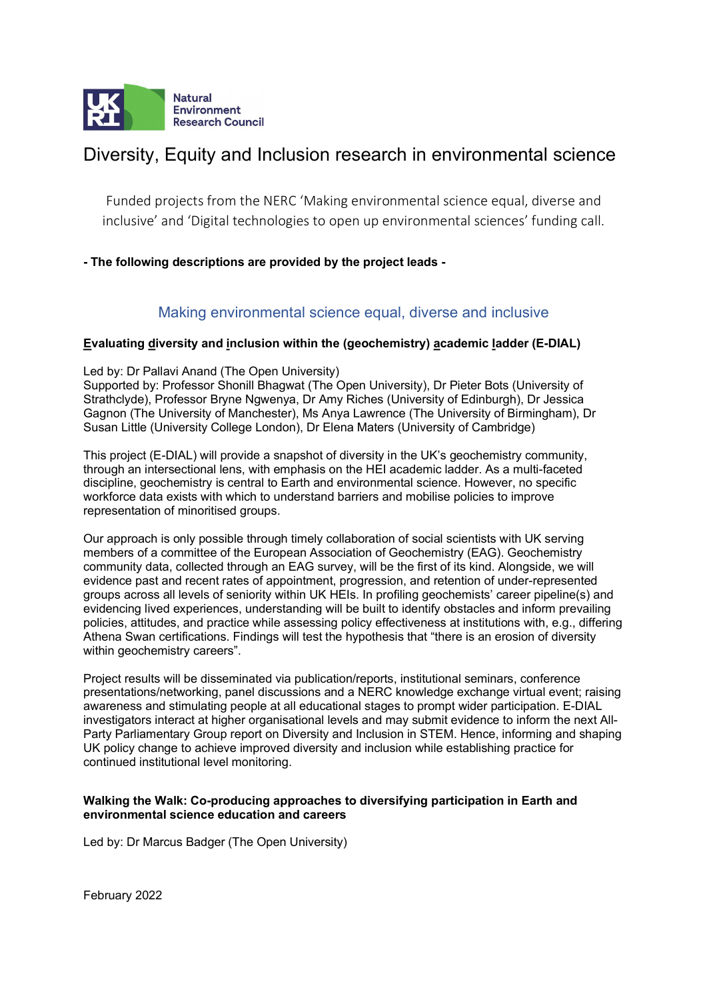

#### Diversity, Equity and Inclusion research in environmental science

Funded projects from the NERC 'Making environmental science equal, diverse and inclusive' and 'Digital technologies to open up environmental sciences' funding call.

#### - The following descriptions are provided by the project leads -

#### Making environmental science equal, diverse and inclusive

# Evaluating diversity and inclusion within the (geochemistry) academic ladder (E-DIAL)<br>Led by: Dr Pallavi Anand (The Open University)

Supported by: Professor Shonill Bhagwat (The Open University), Dr Pieter Bots (University of Strathclyde), Professor Bryne Ngwenya, Dr Amy Riches (University of Edinburgh), Dr Jessica Gagnon (The University of Manchester), Ms Anya Lawrence (The University of Birmingham), Dr Susan Little (University College London), Dr Elena Maters (University of Cambridge)

This project (E-DIAL) will provide a snapshot of diversity in the UK's geochemistry community, through an intersectional lens, with emphasis on the HEI academic ladder. As a multi-faceted discipline, geochemistry is central to Earth and environmental science. However, no specific workforce data exists with which to understand barriers and mobilise policies to improve representation of minoritised groups.

Our approach is only possible through timely collaboration of social scientists with UK serving members of a committee of the European Association of Geochemistry (EAG). Geochemistry community data, collected through an EAG survey, will be the first of its kind. Alongside, we will evidence past and recent rates of appointment, progression, and retention of under-represented groups across all levels of seniority within UK HEIs. In profiling geochemists' career pipeline(s) and evidencing lived experiences, understanding will be built to identify obstacles and inform prevailing policies, attitudes, and practice while assessing policy effectiveness at institutions with, e.g., differing Athena Swan certifications. Findings will test the hypothesis that "there is an erosion of diversity within geochemistry careers".

Project results will be disseminated via publication/reports, institutional seminars, conference presentations/networking, panel discussions and a NERC knowledge exchange virtual event; raising awareness and stimulating people at all educational stages to prompt wider participation. E-DIAL investigators interact at higher organisational levels and may submit evidence to inform the next All-Party Parliamentary Group report on Diversity and Inclusion in STEM. Hence, informing and shaping UK policy change to achieve improved diversity and inclusion while establishing practice for continued institutional level monitoring.

## Walking the Walk: Co-producing approaches to diversifying participation in Earth and

Led by: Dr Marcus Badger (The Open University)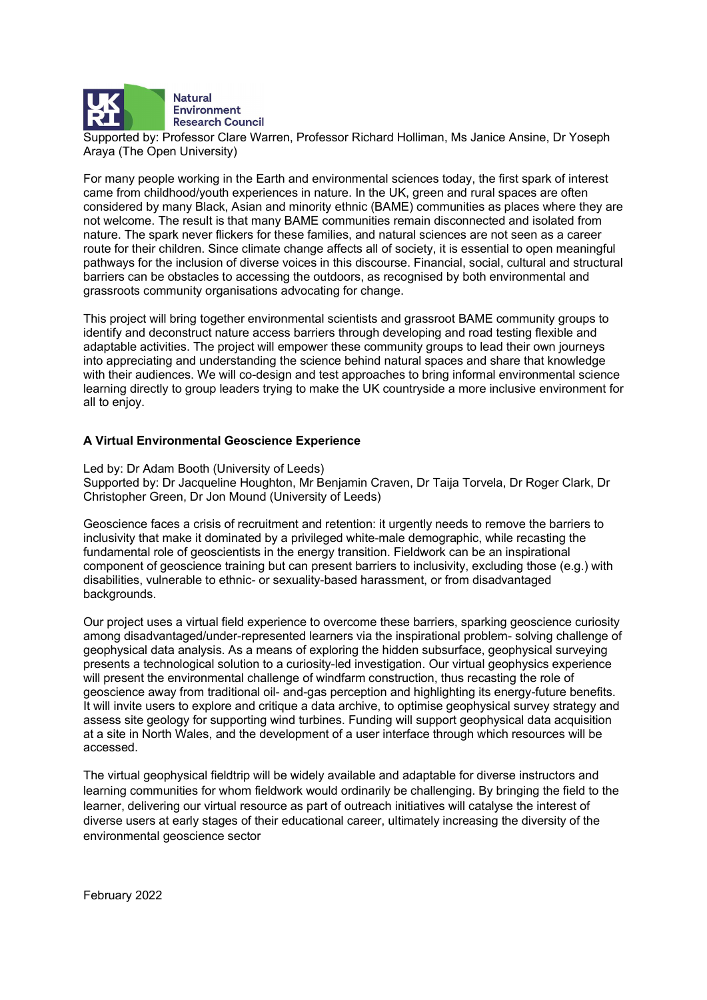

**Natural Environment Research Council** 

Supported by: Professor Clare Warren, Professor Richard Holliman, Ms Janice Ansine, Dr Yoseph Araya (The Open University)

For many people working in the Earth and environmental sciences today, the first spark of interest came from childhood/youth experiences in nature. In the UK, green and rural spaces are often considered by many Black, Asian and minority ethnic (BAME) communities as places where they are not welcome. The result is that many BAME communities remain disconnected and isolated from nature. The spark never flickers for these families, and natural sciences are not seen as a career route for their children. Since climate change affects all of society, it is essential to open meaningful pathways for the inclusion of diverse voices in this discourse. Financial, social, cultural and structural barriers can be obstacles to accessing the outdoors, as recognised by both environmental and grassroots community organisations advocating for change.

 This project will bring together environmental scientists and grassroot BAME community groups to identify and deconstruct nature access barriers through developing and road testing flexible and adaptable activities. The project will empower these community groups to lead their own journeys into appreciating and understanding the science behind natural spaces and share that knowledge with their audiences. We will co-design and test approaches to bring informal environmental science learning directly to group leaders trying to make the UK countryside a more inclusive environment for all to enjoy.

# A Virtual Environmental Geoscience Experience Led by: Dr Adam Booth (University of Leeds)

Supported by: Dr Jacqueline Houghton, Mr Benjamin Craven, Dr Taija Torvela, Dr Roger Clark, Dr Christopher Green, Dr Jon Mound (University of Leeds)

Geoscience faces a crisis of recruitment and retention: it urgently needs to remove the barriers to inclusivity that make it dominated by a privileged white-male demographic, while recasting the fundamental role of geoscientists in the energy transition. Fieldwork can be an inspirational component of geoscience training but can present barriers to inclusivity, excluding those (e.g.) with disabilities, vulnerable to ethnic- or sexuality-based harassment, or from disadvantaged backgrounds.

Our project uses a virtual field experience to overcome these barriers, sparking geoscience curiosity among disadvantaged/under-represented learners via the inspirational problem- solving challenge of geophysical data analysis. As a means of exploring the hidden subsurface, geophysical surveying presents a technological solution to a curiosity-led investigation. Our virtual geophysics experience will present the environmental challenge of windfarm construction, thus recasting the role of geoscience away from traditional oil- and-gas perception and highlighting its energy-future benefits. It will invite users to explore and critique a data archive, to optimise geophysical survey strategy and assess site geology for supporting wind turbines. Funding will support geophysical data acquisition at a site in North Wales, and the development of a user interface through which resources will be accessed.

 The virtual geophysical fieldtrip will be widely available and adaptable for diverse instructors and learning communities for whom fieldwork would ordinarily be challenging. By bringing the field to the learner, delivering our virtual resource as part of outreach initiatives will catalyse the interest of diverse users at early stages of their educational career, ultimately increasing the diversity of the environmental geoscience sector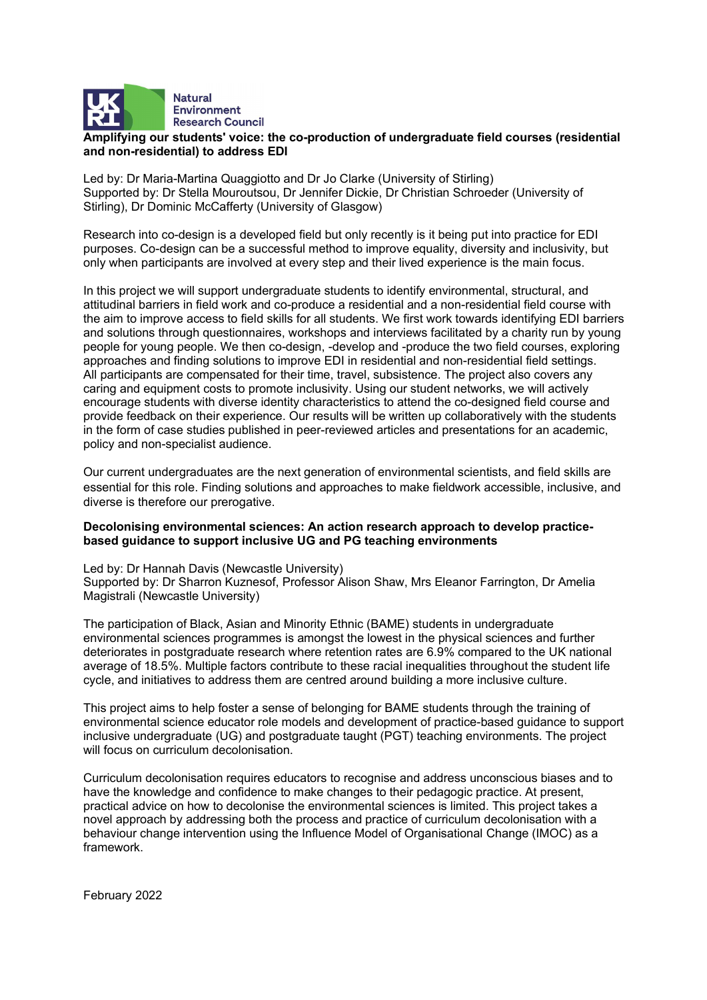

# Amplifying our students' voice: the co-production of undergraduate field courses (residential

Led by: Dr Maria-Martina Quaggiotto and Dr Jo Clarke (University of Stirling) Supported by: Dr Stella Mouroutsou, Dr Jennifer Dickie, Dr Christian Schroeder (University of Stirling), Dr Dominic McCafferty (University of Glasgow)

Research into co-design is a developed field but only recently is it being put into practice for EDI purposes. Co-design can be a successful method to improve equality, diversity and inclusivity, but only when participants are involved at every step and their lived experience is the main focus.

In this project we will support undergraduate students to identify environmental, structural, and attitudinal barriers in field work and co-produce a residential and a non-residential field course with the aim to improve access to field skills for all students. We first work towards identifying EDI barriers and solutions through questionnaires, workshops and interviews facilitated by a charity run by young people for young people. We then co-design, -develop and -produce the two field courses, exploring approaches and finding solutions to improve EDI in residential and non-residential field settings. All participants are compensated for their time, travel, subsistence. The project also covers any caring and equipment costs to promote inclusivity. Using our student networks, we will actively encourage students with diverse identity characteristics to attend the co-designed field course and provide feedback on their experience. Our results will be written up collaboratively with the students in the form of case studies published in peer-reviewed articles and presentations for an academic, policy and non-specialist audience.

Our current undergraduates are the next generation of environmental scientists, and field skills are essential for this role. Finding solutions and approaches to make fieldwork accessible, inclusive, and diverse is therefore our prerogative.

## Decolonising environmental sciences: An action research approach to develop practicebased guidance to support inclusive UG and PG teaching environments<br>Led by: Dr Hannah Davis (Newcastle University)

Supported by: Dr Sharron Kuznesof, Professor Alison Shaw, Mrs Eleanor Farrington, Dr Amelia Magistrali (Newcastle University)

The participation of Black, Asian and Minority Ethnic (BAME) students in undergraduate environmental sciences programmes is amongst the lowest in the physical sciences and further deteriorates in postgraduate research where retention rates are 6.9% compared to the UK national average of 18.5%. Multiple factors contribute to these racial inequalities throughout the student life cycle, and initiatives to address them are centred around building a more inclusive culture.

This project aims to help foster a sense of belonging for BAME students through the training of environmental science educator role models and development of practice-based guidance to support inclusive undergraduate (UG) and postgraduate taught (PGT) teaching environments. The project will focus on curriculum decolonisation.

Curriculum decolonisation requires educators to recognise and address unconscious biases and to have the knowledge and confidence to make changes to their pedagogic practice. At present, practical advice on how to decolonise the environmental sciences is limited. This project takes a novel approach by addressing both the process and practice of curriculum decolonisation with a behaviour change intervention using the Influence Model of Organisational Change (IMOC) as a framework.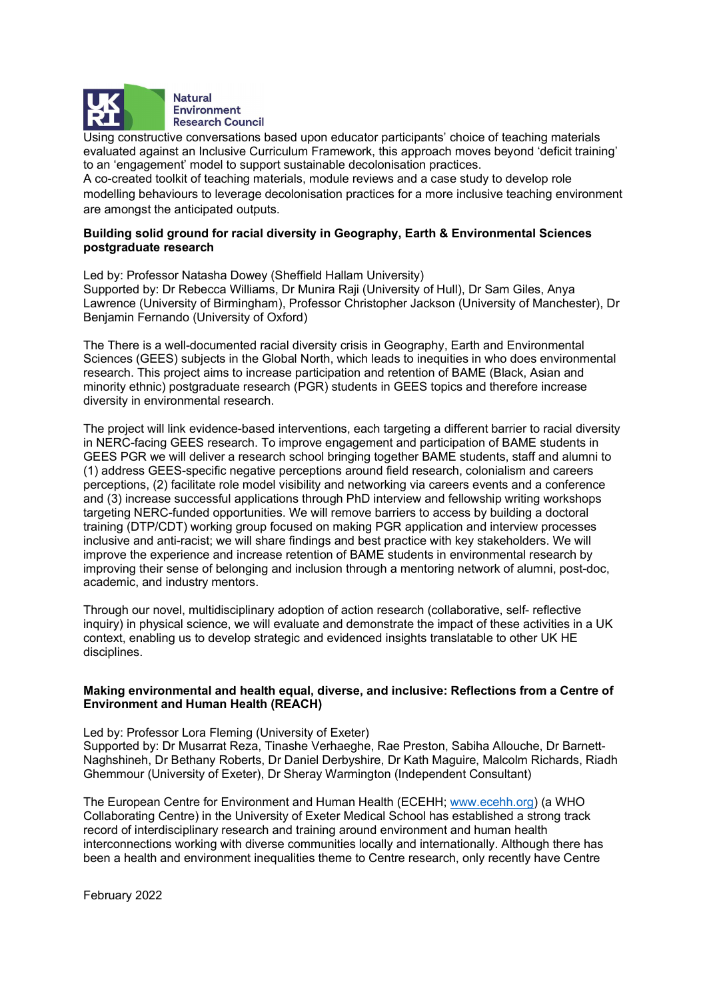

Using constructive conversations based upon educator participants' choice of teaching materials evaluated against an Inclusive Curriculum Framework, this approach moves beyond 'deficit training' to an 'engagement' model to support sustainable decolonisation practices.

A co-created toolkit of teaching materials, module reviews and a case study to develop role modelling behaviours to leverage decolonisation practices for a more inclusive teaching environment are amongst the anticipated outputs.

## Building solid ground for racial diversity in Geography, Earth & Environmental Sciences

postgraduate research<br>Led by: Professor Natasha Dowey (Sheffield Hallam University) Supported by: Dr Rebecca Williams, Dr Munira Raji (University of Hull), Dr Sam Giles, Anya Lawrence (University of Birmingham), Professor Christopher Jackson (University of Manchester), Dr Benjamin Fernando (University of Oxford)

The There is a well-documented racial diversity crisis in Geography, Earth and Environmental Sciences (GEES) subjects in the Global North, which leads to inequities in who does environmental research. This project aims to increase participation and retention of BAME (Black, Asian and minority ethnic) postgraduate research (PGR) students in GEES topics and therefore increase diversity in environmental research.

The project will link evidence-based interventions, each targeting a different barrier to racial diversity in NERC-facing GEES research. To improve engagement and participation of BAME students in GEES PGR we will deliver a research school bringing together BAME students, staff and alumni to (1) address GEES-specific negative perceptions around field research, colonialism and careers perceptions, (2) facilitate role model visibility and networking via careers events and a conference and (3) increase successful applications through PhD interview and fellowship writing workshops targeting NERC-funded opportunities. We will remove barriers to access by building a doctoral training (DTP/CDT) working group focused on making PGR application and interview processes inclusive and anti-racist; we will share findings and best practice with key stakeholders. We will improve the experience and increase retention of BAME students in environmental research by improving their sense of belonging and inclusion through a mentoring network of alumni, post-doc, academic, and industry mentors.

Through our novel, multidisciplinary adoption of action research (collaborative, self- reflective inquiry) in physical science, we will evaluate and demonstrate the impact of these activities in a UK context, enabling us to develop strategic and evidenced insights translatable to other UK HE disciplines.

#### Making environmental and health equal, diverse, and inclusive: Reflections from a Centre of Environment and Human Health (REACH)

Led by: Professor Lora Fleming (University of Exeter)

Supported by: Dr Musarrat Reza, Tinashe Verhaeghe, Rae Preston, Sabiha Allouche, Dr Barnett-Naghshineh, Dr Bethany Roberts, Dr Daniel Derbyshire, Dr Kath Maguire, Malcolm Richards, Riadh Ghemmour (University of Exeter), Dr Sheray Warmington (Independent Consultant)

The European Centre for Environment and Human Health (ECEHH; www.ecehh.org) (a WHO Collaborating Centre) in the University of Exeter Medical School has established a strong track record of interdisciplinary research and training around environment and human health interconnections working with diverse communities locally and internationally. Although there has been a health and environment inequalities theme to Centre research, only recently have Centre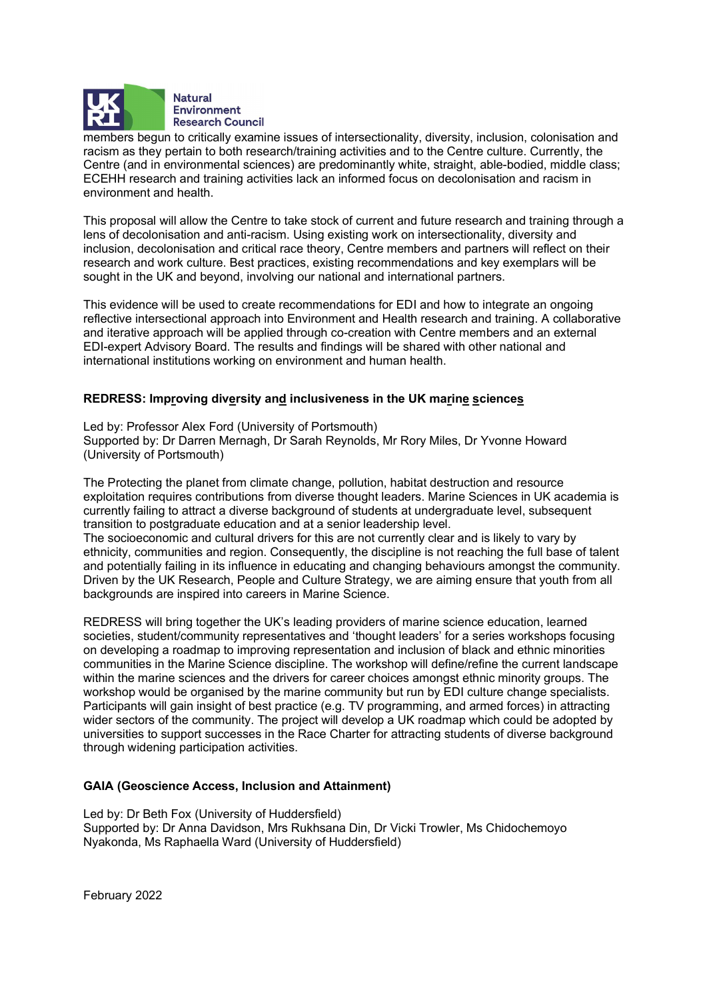

members begun to critically examine issues of intersectionality, diversity, inclusion, colonisation and racism as they pertain to both research/training activities and to the Centre culture. Currently, the Centre (and in environmental sciences) are predominantly white, straight, able-bodied, middle class; ECEHH research and training activities lack an informed focus on decolonisation and racism in environment and health.

This proposal will allow the Centre to take stock of current and future research and training through a lens of decolonisation and anti-racism. Using existing work on intersectionality, diversity and inclusion, decolonisation and critical race theory, Centre members and partners will reflect on their research and work culture. Best practices, existing recommendations and key exemplars will be sought in the UK and beyond, involving our national and international partners.

This evidence will be used to create recommendations for EDI and how to integrate an ongoing reflective intersectional approach into Environment and Health research and training. A collaborative and iterative approach will be applied through co-creation with Centre members and an external EDI-expert Advisory Board. The results and findings will be shared with other national and international institutions working on environment and human health.

# REDRESS: Improving diversity and inclusiveness in the UK marine sciences<br>Led by: Professor Alex Ford (University of Portsmouth)

Supported by: Dr Darren Mernagh, Dr Sarah Reynolds, Mr Rory Miles, Dr Yvonne Howard (University of Portsmouth)

The Protecting the planet from climate change, pollution, habitat destruction and resource exploitation requires contributions from diverse thought leaders. Marine Sciences in UK academia is currently failing to attract a diverse background of students at undergraduate level, subsequent transition to postgraduate education and at a senior leadership level.

The socioeconomic and cultural drivers for this are not currently clear and is likely to vary by ethnicity, communities and region. Consequently, the discipline is not reaching the full base of talent and potentially failing in its influence in educating and changing behaviours amongst the community. Driven by the UK Research, People and Culture Strategy, we are aiming ensure that youth from all backgrounds are inspired into careers in Marine Science.

REDRESS will bring together the UK's leading providers of marine science education, learned societies, student/community representatives and 'thought leaders' for a series workshops focusing on developing a roadmap to improving representation and inclusion of black and ethnic minorities communities in the Marine Science discipline. The workshop will define/refine the current landscape within the marine sciences and the drivers for career choices amongst ethnic minority groups. The workshop would be organised by the marine community but run by EDI culture change specialists. Participants will gain insight of best practice (e.g. TV programming, and armed forces) in attracting wider sectors of the community. The project will develop a UK roadmap which could be adopted by universities to support successes in the Race Charter for attracting students of diverse background through widening participation activities.

#### GAIA (Geoscience Access, Inclusion and Attainment)

Led by: Dr Beth Fox (University of Huddersfield) Supported by: Dr Anna Davidson, Mrs Rukhsana Din, Dr Vicki Trowler, Ms Chidochemoyo Nyakonda, Ms Raphaella Ward (University of Huddersfield)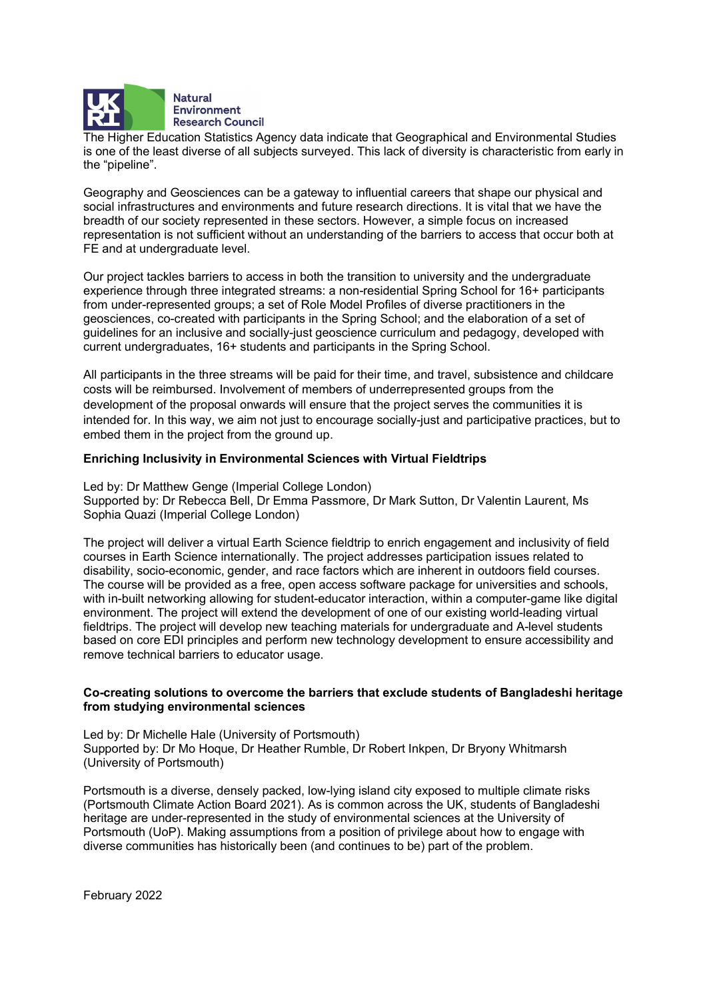

**Natural Environment Research Council** 

The Higher Education Statistics Agency data indicate that Geographical and Environmental Studies is one of the least diverse of all subjects surveyed. This lack of diversity is characteristic from early in the "pipeline".

Geography and Geosciences can be a gateway to influential careers that shape our physical and social infrastructures and environments and future research directions. It is vital that we have the breadth of our society represented in these sectors. However, a simple focus on increased representation is not sufficient without an understanding of the barriers to access that occur both at FE and at undergraduate level.

Our project tackles barriers to access in both the transition to university and the undergraduate experience through three integrated streams: a non-residential Spring School for 16+ participants from under-represented groups; a set of Role Model Profiles of diverse practitioners in the geosciences, co-created with participants in the Spring School; and the elaboration of a set of guidelines for an inclusive and socially-just geoscience curriculum and pedagogy, developed with current undergraduates, 16+ students and participants in the Spring School.

All participants in the three streams will be paid for their time, and travel, subsistence and childcare costs will be reimbursed. Involvement of members of underrepresented groups from the development of the proposal onwards will ensure that the project serves the communities it is intended for. In this way, we aim not just to encourage socially-just and participative practices, but to embed them in the project from the ground up.

# Enriching Inclusivity in Environmental Sciences with Virtual Fieldtrips Led by: Dr Matthew Genge (Imperial College London)

Supported by: Dr Rebecca Bell, Dr Emma Passmore, Dr Mark Sutton, Dr Valentin Laurent, Ms Sophia Quazi (Imperial College London)

The project will deliver a virtual Earth Science fieldtrip to enrich engagement and inclusivity of field courses in Earth Science internationally. The project addresses participation issues related to disability, socio-economic, gender, and race factors which are inherent in outdoors field courses. The course will be provided as a free, open access software package for universities and schools, with in-built networking allowing for student-educator interaction, within a computer-game like digital environment. The project will extend the development of one of our existing world-leading virtual fieldtrips. The project will develop new teaching materials for undergraduate and A-level students based on core EDI principles and perform new technology development to ensure accessibility and remove technical barriers to educator usage.

#### Co-creating solutions to overcome the barriers that exclude students of Bangladeshi heritage from studying environmental sciences

Led by: Dr Michelle Hale (University of Portsmouth) Supported by: Dr Mo Hoque, Dr Heather Rumble, Dr Robert Inkpen, Dr Bryony Whitmarsh (University of Portsmouth)

Portsmouth is a diverse, densely packed, low-lying island city exposed to multiple climate risks (Portsmouth Climate Action Board 2021). As is common across the UK, students of Bangladeshi heritage are under-represented in the study of environmental sciences at the University of Portsmouth (UoP). Making assumptions from a position of privilege about how to engage with diverse communities has historically been (and continues to be) part of the problem.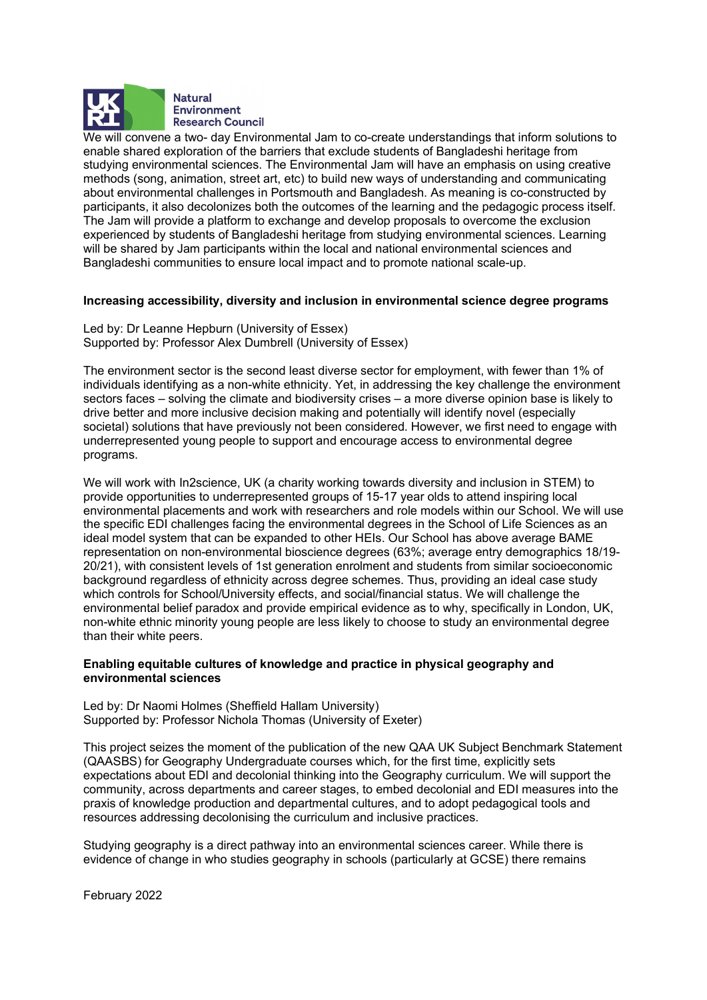

We will convene a two- day Environmental Jam to co-create understandings that inform solutions to enable shared exploration of the barriers that exclude students of Bangladeshi heritage from studying environmental sciences. The Environmental Jam will have an emphasis on using creative methods (song, animation, street art, etc) to build new ways of understanding and communicating about environmental challenges in Portsmouth and Bangladesh. As meaning is co-constructed by participants, it also decolonizes both the outcomes of the learning and the pedagogic process itself. The Jam will provide a platform to exchange and develop proposals to overcome the exclusion experienced by students of Bangladeshi heritage from studying environmental sciences. Learning will be shared by Jam participants within the local and national environmental sciences and Bangladeshi communities to ensure local impact and to promote national scale-up.

# Increasing accessibility, diversity and inclusion in environmental science degree programs Led by: Dr Leanne Hepburn (University of Essex)

Supported by: Professor Alex Dumbrell (University of Essex)

The environment sector is the second least diverse sector for employment, with fewer than 1% of individuals identifying as a non-white ethnicity. Yet, in addressing the key challenge the environment sectors faces – solving the climate and biodiversity crises – a more diverse opinion base is likely to drive better and more inclusive decision making and potentially will identify novel (especially societal) solutions that have previously not been considered. However, we first need to engage with underrepresented young people to support and encourage access to environmental degree programs.

We will work with In2science, UK (a charity working towards diversity and inclusion in STEM) to provide opportunities to underrepresented groups of 15-17 year olds to attend inspiring local environmental placements and work with researchers and role models within our School. We will use the specific EDI challenges facing the environmental degrees in the School of Life Sciences as an ideal model system that can be expanded to other HEIs. Our School has above average BAME representation on non-environmental bioscience degrees (63%; average entry demographics 18/19- 20/21), with consistent levels of 1st generation enrolment and students from similar socioeconomic background regardless of ethnicity across degree schemes. Thus, providing an ideal case study which controls for School/University effects, and social/financial status. We will challenge the environmental belief paradox and provide empirical evidence as to why, specifically in London, UK, non-white ethnic minority young people are less likely to choose to study an environmental degree than their white peers.

## Enabling equitable cultures of knowledge and practice in physical geography and environmental sciences<br>Led by: Dr Naomi Holmes (Sheffield Hallam University)

Supported by: Professor Nichola Thomas (University of Exeter)

This project seizes the moment of the publication of the new QAA UK Subject Benchmark Statement (QAASBS) for Geography Undergraduate courses which, for the first time, explicitly sets expectations about EDI and decolonial thinking into the Geography curriculum. We will support the community, across departments and career stages, to embed decolonial and EDI measures into the praxis of knowledge production and departmental cultures, and to adopt pedagogical tools and resources addressing decolonising the curriculum and inclusive practices.

Studying geography is a direct pathway into an environmental sciences career. While there is evidence of change in who studies geography in schools (particularly at GCSE) there remains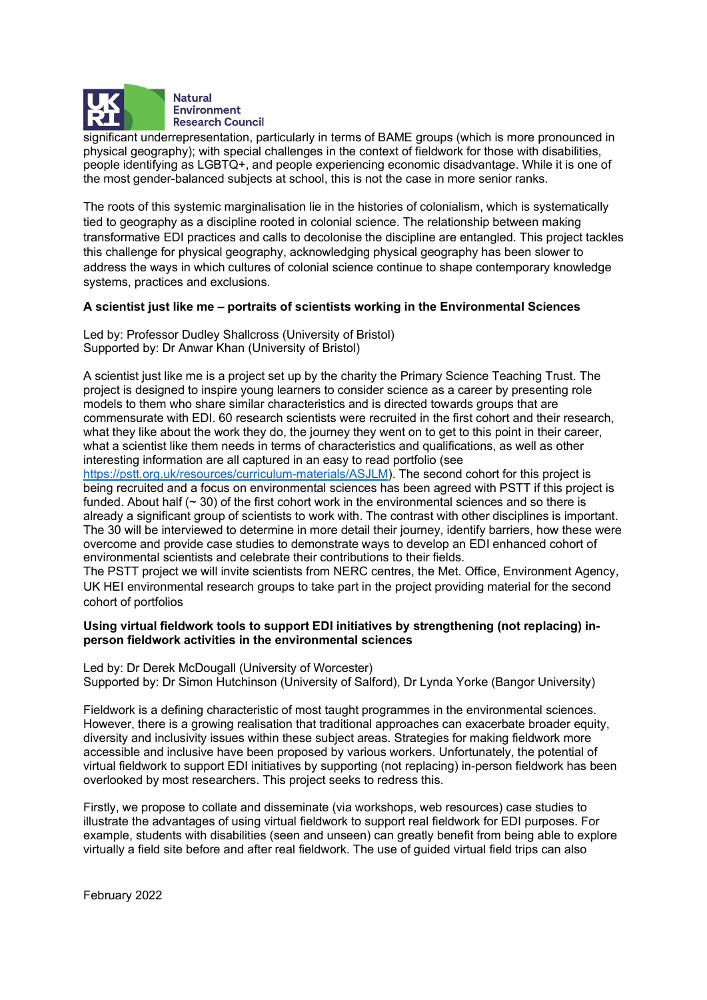

significant underrepresentation, particularly in terms of BAME groups (which is more pronounced in physical geography); with special challenges in the context of fieldwork for those with disabilities, people identifying as LGBTQ+, and people experiencing economic disadvantage. While it is one of the most gender-balanced subjects at school, this is not the case in more senior ranks.

The roots of this systemic marginalisation lie in the histories of colonialism, which is systematically tied to geography as a discipline rooted in colonial science. The relationship between making transformative EDI practices and calls to decolonise the discipline are entangled. This project tackles this challenge for physical geography, acknowledging physical geography has been slower to address the ways in which cultures of colonial science continue to shape contemporary knowledge systems, practices and exclusions.

# A scientist just like me – portraits of scientists working in the Environmental Sciences Led by: Professor Dudley Shallcross (University of Bristol)

Supported by: Dr Anwar Khan (University of Bristol)

A scientist just like me is a project set up by the charity the Primary Science Teaching Trust. The project is designed to inspire young learners to consider science as a career by presenting role models to them who share similar characteristics and is directed towards groups that are commensurate with EDI. 60 research scientists were recruited in the first cohort and their research, what they like about the work they do, the journey they went on to get to this point in their career, what a scientist like them needs in terms of characteristics and qualifications, as well as other interesting information are all captured in an easy to read portfolio (see

https://pstt.org.uk/resources/curriculum-materials/ASJLM). The second cohort for this project is being recruited and a focus on environmental sciences has been agreed with PSTT if this project is funded. About half (~ 30) of the first cohort work in the environmental sciences and so there is already a significant group of scientists to work with. The contrast with other disciplines is important. The 30 will be interviewed to determine in more detail their journey, identify barriers, how these were overcome and provide case studies to demonstrate ways to develop an EDI enhanced cohort of environmental scientists and celebrate their contributions to their fields.

The PSTT project we will invite scientists from NERC centres, the Met. Office, Environment Agency, UK HEI environmental research groups to take part in the project providing material for the second cohort of portfolios

## Using virtual fieldwork tools to support EDI initiatives by strengthening (not replacing) in-

person fieldwork activities in the environmental sciences Led by: Dr Derek McDougall (University of Worcester) Supported by: Dr Simon Hutchinson (University of Salford), Dr Lynda Yorke (Bangor University)

Fieldwork is a defining characteristic of most taught programmes in the environmental sciences. However, there is a growing realisation that traditional approaches can exacerbate broader equity, diversity and inclusivity issues within these subject areas. Strategies for making fieldwork more accessible and inclusive have been proposed by various workers. Unfortunately, the potential of virtual fieldwork to support EDI initiatives by supporting (not replacing) in-person fieldwork has been overlooked by most researchers. This project seeks to redress this.

Firstly, we propose to collate and disseminate (via workshops, web resources) case studies to illustrate the advantages of using virtual fieldwork to support real fieldwork for EDI purposes. For example, students with disabilities (seen and unseen) can greatly benefit from being able to explore virtually a field site before and after real fieldwork. The use of guided virtual field trips can also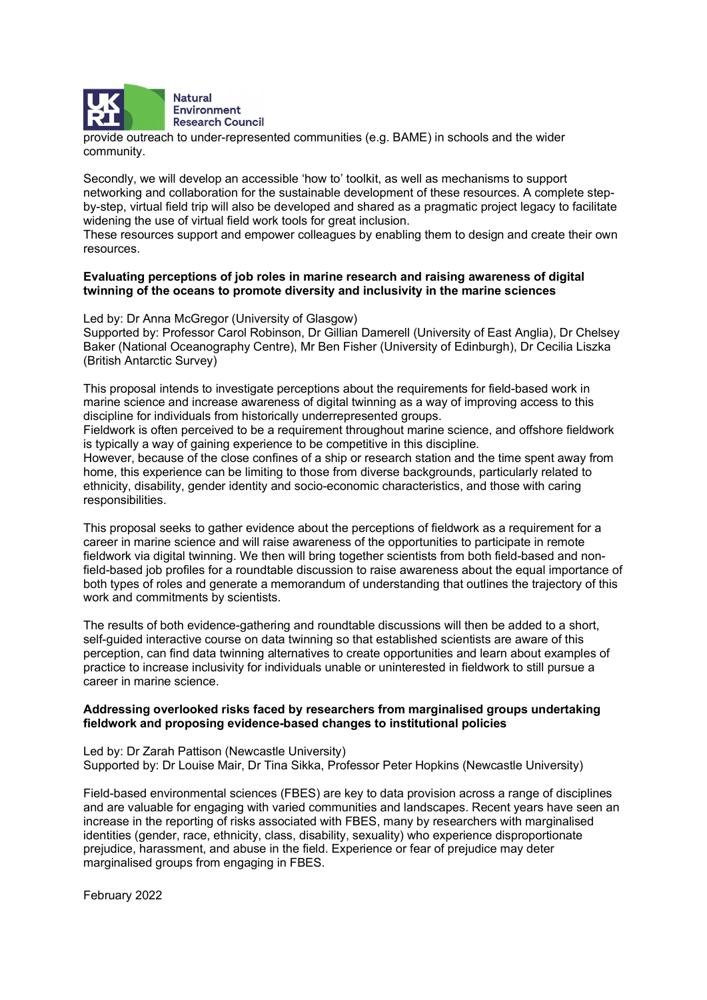

provide outreach to under-represented communities (e.g. BAME) in schools and the wider community.

Secondly, we will develop an accessible 'how to' toolkit, as well as mechanisms to support networking and collaboration for the sustainable development of these resources. A complete stepby-step, virtual field trip will also be developed and shared as a pragmatic project legacy to facilitate widening the use of virtual field work tools for great inclusion.

These resources support and empower colleagues by enabling them to design and create their own resources.

## Evaluating perceptions of job roles in marine research and raising awareness of digital

twinning of the oceans to promote diversity and inclusivity in the marine sciences<br>Led by: Dr Anna McGregor (University of Glasgow) Supported by: Professor Carol Robinson, Dr Gillian Damerell (University of East Anglia), Dr Chelsey Baker (National Oceanography Centre), Mr Ben Fisher (University of Edinburgh), Dr Cecilia Liszka (British Antarctic Survey)

This proposal intends to investigate perceptions about the requirements for field-based work in marine science and increase awareness of digital twinning as a way of improving access to this discipline for individuals from historically underrepresented groups.

Fieldwork is often perceived to be a requirement throughout marine science, and offshore fieldwork is typically a way of gaining experience to be competitive in this discipline.

However, because of the close confines of a ship or research station and the time spent away from home, this experience can be limiting to those from diverse backgrounds, particularly related to ethnicity, disability, gender identity and socio-economic characteristics, and those with caring responsibilities.

This proposal seeks to gather evidence about the perceptions of fieldwork as a requirement for a career in marine science and will raise awareness of the opportunities to participate in remote fieldwork via digital twinning. We then will bring together scientists from both field-based and nonfield-based job profiles for a roundtable discussion to raise awareness about the equal importance of both types of roles and generate a memorandum of understanding that outlines the trajectory of this work and commitments by scientists.

The results of both evidence-gathering and roundtable discussions will then be added to a short, self-guided interactive course on data twinning so that established scientists are aware of this perception, can find data twinning alternatives to create opportunities and learn about examples of practice to increase inclusivity for individuals unable or uninterested in fieldwork to still pursue a career in marine science.

#### Addressing overlooked risks faced by researchers from marginalised groups undertaking fieldwork and proposing evidence-based changes to institutional policies<br>Led by: Dr Zarah Pattison (Newcastle University)

Supported by: Dr Louise Mair, Dr Tina Sikka, Professor Peter Hopkins (Newcastle University)

Field-based environmental sciences (FBES) are key to data provision across a range of disciplines and are valuable for engaging with varied communities and landscapes. Recent years have seen an increase in the reporting of risks associated with FBES, many by researchers with marginalised identities (gender, race, ethnicity, class, disability, sexuality) who experience disproportionate prejudice, harassment, and abuse in the field. Experience or fear of prejudice may deter marginalised groups from engaging in FBES.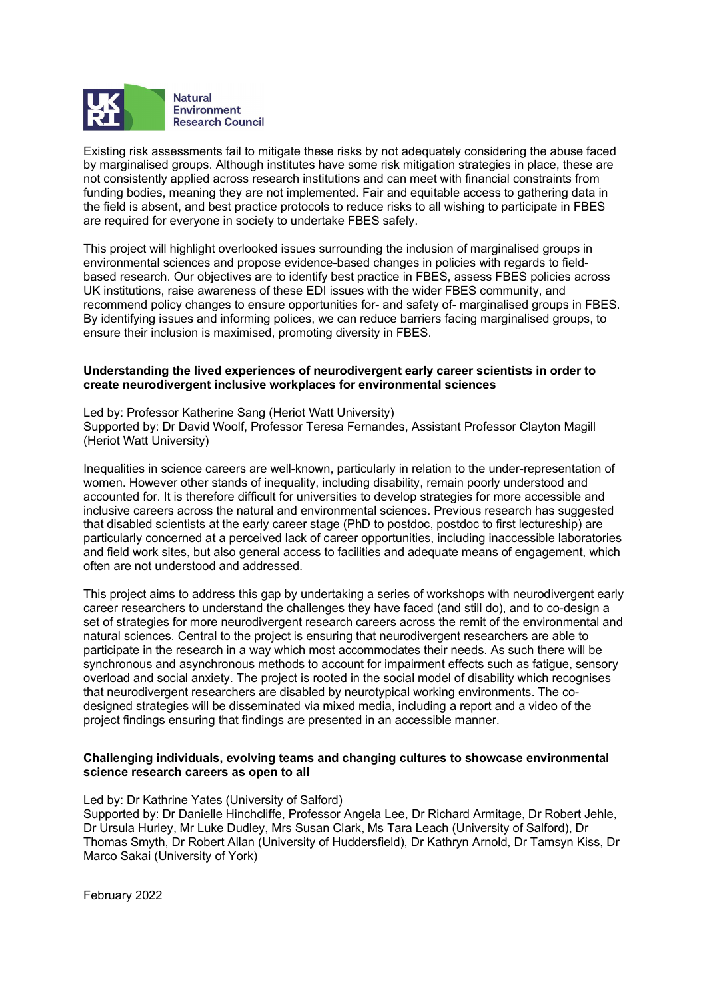

Existing risk assessments fail to mitigate these risks by not adequately considering the abuse faced by marginalised groups. Although institutes have some risk mitigation strategies in place, these are not consistently applied across research institutions and can meet with financial constraints from funding bodies, meaning they are not implemented. Fair and equitable access to gathering data in the field is absent, and best practice protocols to reduce risks to all wishing to participate in FBES are required for everyone in society to undertake FBES safely.

This project will highlight overlooked issues surrounding the inclusion of marginalised groups in environmental sciences and propose evidence-based changes in policies with regards to fieldbased research. Our objectives are to identify best practice in FBES, assess FBES policies across UK institutions, raise awareness of these EDI issues with the wider FBES community, and recommend policy changes to ensure opportunities for- and safety of- marginalised groups in FBES. By identifying issues and informing polices, we can reduce barriers facing marginalised groups, to ensure their inclusion is maximised, promoting diversity in FBES.

## Understanding the lived experiences of neurodivergent early career scientists in order to create neurodivergent inclusive workplaces for environmental sciences Led by: Professor Katherine Sang (Heriot Watt University)

Supported by: Dr David Woolf, Professor Teresa Fernandes, Assistant Professor Clayton Magill (Heriot Watt University)

Inequalities in science careers are well-known, particularly in relation to the under-representation of women. However other stands of inequality, including disability, remain poorly understood and accounted for. It is therefore difficult for universities to develop strategies for more accessible and inclusive careers across the natural and environmental sciences. Previous research has suggested that disabled scientists at the early career stage (PhD to postdoc, postdoc to first lectureship) are particularly concerned at a perceived lack of career opportunities, including inaccessible laboratories and field work sites, but also general access to facilities and adequate means of engagement, which often are not understood and addressed.

This project aims to address this gap by undertaking a series of workshops with neurodivergent early career researchers to understand the challenges they have faced (and still do), and to co-design a set of strategies for more neurodivergent research careers across the remit of the environmental and natural sciences. Central to the project is ensuring that neurodivergent researchers are able to participate in the research in a way which most accommodates their needs. As such there will be synchronous and asynchronous methods to account for impairment effects such as fatigue, sensory overload and social anxiety. The project is rooted in the social model of disability which recognises that neurodivergent researchers are disabled by neurotypical working environments. The codesigned strategies will be disseminated via mixed media, including a report and a video of the project findings ensuring that findings are presented in an accessible manner.

### Challenging individuals, evolving teams and changing cultures to showcase environmental science research careers as open to all<br>Led by: Dr Kathrine Yates (University of Salford)

Supported by: Dr Danielle Hinchcliffe, Professor Angela Lee, Dr Richard Armitage, Dr Robert Jehle, Dr Ursula Hurley, Mr Luke Dudley, Mrs Susan Clark, Ms Tara Leach (University of Salford), Dr Thomas Smyth, Dr Robert Allan (University of Huddersfield), Dr Kathryn Arnold, Dr Tamsyn Kiss, Dr Marco Sakai (University of York)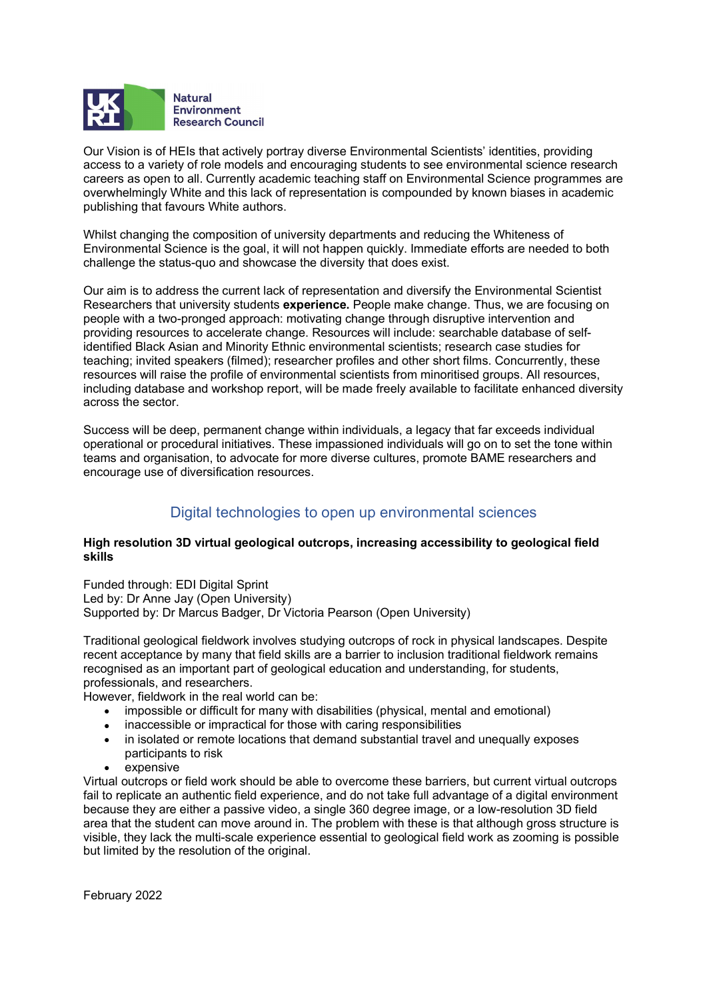

 Our Vision is of HEIs that actively portray diverse Environmental Scientists' identities, providing access to a variety of role models and encouraging students to see environmental science research careers as open to all. Currently academic teaching staff on Environmental Science programmes are overwhelmingly White and this lack of representation is compounded by known biases in academic publishing that favours White authors.

Whilst changing the composition of university departments and reducing the Whiteness of Environmental Science is the goal, it will not happen quickly. Immediate efforts are needed to both challenge the status-quo and showcase the diversity that does exist.

Our aim is to address the current lack of representation and diversify the Environmental Scientist Researchers that university students experience. People make change. Thus, we are focusing on people with a two-pronged approach: motivating change through disruptive intervention and providing resources to accelerate change. Resources will include: searchable database of selfidentified Black Asian and Minority Ethnic environmental scientists; research case studies for teaching; invited speakers (filmed); researcher profiles and other short films. Concurrently, these resources will raise the profile of environmental scientists from minoritised groups. All resources, including database and workshop report, will be made freely available to facilitate enhanced diversity across the sector.

Success will be deep, permanent change within individuals, a legacy that far exceeds individual operational or procedural initiatives. These impassioned individuals will go on to set the tone within teams and organisation, to advocate for more diverse cultures, promote BAME researchers and encourage use of diversification resources.

#### Digital technologies to open up environmental sciences

## High resolution 3D virtual geological outcrops, increasing accessibility to geological field skills<br>Funded through: EDI Digital Sprint

Led by: Dr Anne Jay (Open University) Supported by: Dr Marcus Badger, Dr Victoria Pearson (Open University)

Traditional geological fieldwork involves studying outcrops of rock in physical landscapes. Despite recent acceptance by many that field skills are a barrier to inclusion traditional fieldwork remains recognised as an important part of geological education and understanding, for students, professionals, and researchers.

However, fieldwork in the real world can be:

- impossible or difficult for many with disabilities (physical, mental and emotional)
- inaccessible or impractical for those with caring responsibilities
- in isolated or remote locations that demand substantial travel and unequally exposes participants to risk
- expensive

Virtual outcrops or field work should be able to overcome these barriers, but current virtual outcrops fail to replicate an authentic field experience, and do not take full advantage of a digital environment because they are either a passive video, a single 360 degree image, or a low-resolution 3D field area that the student can move around in. The problem with these is that although gross structure is visible, they lack the multi-scale experience essential to geological field work as zooming is possible but limited by the resolution of the original.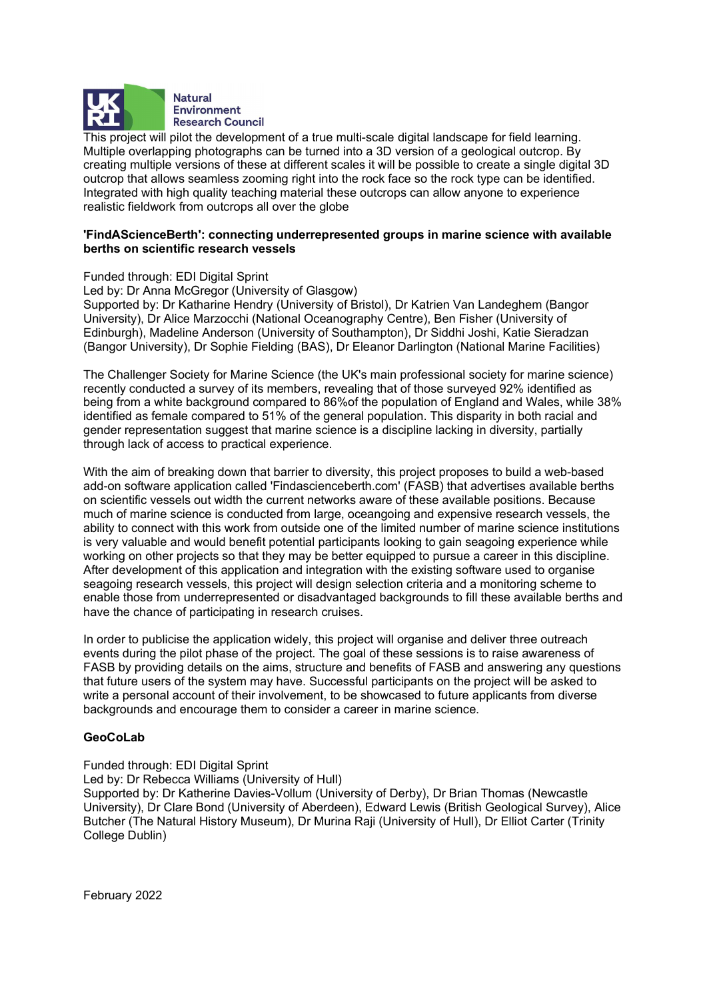

This project will pilot the development of a true multi-scale digital landscape for field learning. Multiple overlapping photographs can be turned into a 3D version of a geological outcrop. By creating multiple versions of these at different scales it will be possible to create a single digital 3D outcrop that allows seamless zooming right into the rock face so the rock type can be identified. Integrated with high quality teaching material these outcrops can allow anyone to experience realistic fieldwork from outcrops all over the globe

## 'FindAScienceBerth': connecting underrepresented groups in marine science with available berths on scientific research vessels<br>Funded through: EDI Digital Sprint

Led by: Dr Anna McGregor (University of Glasgow)

Supported by: Dr Katharine Hendry (University of Bristol), Dr Katrien Van Landeghem (Bangor University), Dr Alice Marzocchi (National Oceanography Centre), Ben Fisher (University of Edinburgh), Madeline Anderson (University of Southampton), Dr Siddhi Joshi, Katie Sieradzan (Bangor University), Dr Sophie Fielding (BAS), Dr Eleanor Darlington (National Marine Facilities)

The Challenger Society for Marine Science (the UK's main professional society for marine science) recently conducted a survey of its members, revealing that of those surveyed 92% identified as being from a white background compared to 86%of the population of England and Wales, while 38% identified as female compared to 51% of the general population. This disparity in both racial and gender representation suggest that marine science is a discipline lacking in diversity, partially through lack of access to practical experience.

With the aim of breaking down that barrier to diversity, this project proposes to build a web-based add-on software application called 'Findascienceberth.com' (FASB) that advertises available berths on scientific vessels out width the current networks aware of these available positions. Because much of marine science is conducted from large, oceangoing and expensive research vessels, the ability to connect with this work from outside one of the limited number of marine science institutions is very valuable and would benefit potential participants looking to gain seagoing experience while working on other projects so that they may be better equipped to pursue a career in this discipline. After development of this application and integration with the existing software used to organise seagoing research vessels, this project will design selection criteria and a monitoring scheme to enable those from underrepresented or disadvantaged backgrounds to fill these available berths and have the chance of participating in research cruises.

In order to publicise the application widely, this project will organise and deliver three outreach events during the pilot phase of the project. The goal of these sessions is to raise awareness of FASB by providing details on the aims, structure and benefits of FASB and answering any questions that future users of the system may have. Successful participants on the project will be asked to write a personal account of their involvement, to be showcased to future applicants from diverse backgrounds and encourage them to consider a career in marine science.

GeoCoLab<br>
Funded through: EDI Digital Sprint Led by: Dr Rebecca Williams (University of Hull) Supported by: Dr Katherine Davies-Vollum (University of Derby), Dr Brian Thomas (Newcastle University), Dr Clare Bond (University of Aberdeen), Edward Lewis (British Geological Survey), Alice Butcher (The Natural History Museum), Dr Murina Raji (University of Hull), Dr Elliot Carter (Trinity College Dublin)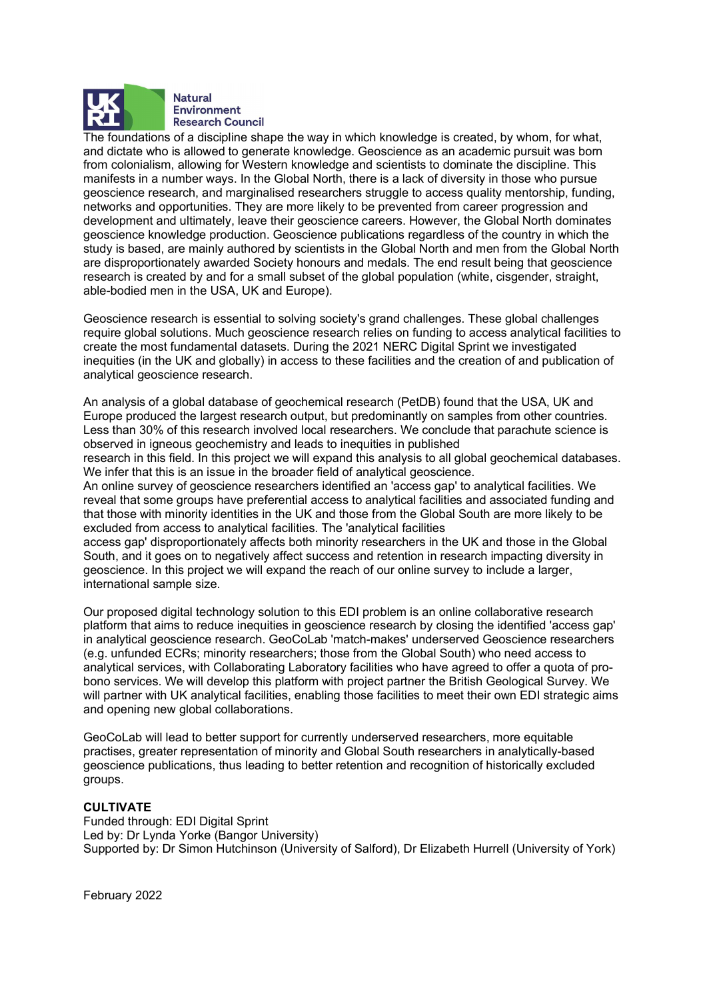

The foundations of a discipline shape the way in which knowledge is created, by whom, for what, and dictate who is allowed to generate knowledge. Geoscience as an academic pursuit was born from colonialism, allowing for Western knowledge and scientists to dominate the discipline. This manifests in a number ways. In the Global North, there is a lack of diversity in those who pursue geoscience research, and marginalised researchers struggle to access quality mentorship, funding, networks and opportunities. They are more likely to be prevented from career progression and development and ultimately, leave their geoscience careers. However, the Global North dominates geoscience knowledge production. Geoscience publications regardless of the country in which the study is based, are mainly authored by scientists in the Global North and men from the Global North are disproportionately awarded Society honours and medals. The end result being that geoscience research is created by and for a small subset of the global population (white, cisgender, straight, able-bodied men in the USA, UK and Europe).

Geoscience research is essential to solving society's grand challenges. These global challenges require global solutions. Much geoscience research relies on funding to access analytical facilities to create the most fundamental datasets. During the 2021 NERC Digital Sprint we investigated inequities (in the UK and globally) in access to these facilities and the creation of and publication of analytical geoscience research.

An analysis of a global database of geochemical research (PetDB) found that the USA, UK and Europe produced the largest research output, but predominantly on samples from other countries. Less than 30% of this research involved local researchers. We conclude that parachute science is observed in igneous geochemistry and leads to inequities in published

research in this field. In this project we will expand this analysis to all global geochemical databases. We infer that this is an issue in the broader field of analytical geoscience.

An online survey of geoscience researchers identified an 'access gap' to analytical facilities. We reveal that some groups have preferential access to analytical facilities and associated funding and that those with minority identities in the UK and those from the Global South are more likely to be excluded from access to analytical facilities. The 'analytical facilities

access gap' disproportionately affects both minority researchers in the UK and those in the Global South, and it goes on to negatively affect success and retention in research impacting diversity in geoscience. In this project we will expand the reach of our online survey to include a larger, international sample size.

Our proposed digital technology solution to this EDI problem is an online collaborative research platform that aims to reduce inequities in geoscience research by closing the identified 'access gap' in analytical geoscience research. GeoCoLab 'match-makes' underserved Geoscience researchers (e.g. unfunded ECRs; minority researchers; those from the Global South) who need access to analytical services, with Collaborating Laboratory facilities who have agreed to offer a quota of probono services. We will develop this platform with project partner the British Geological Survey. We will partner with UK analytical facilities, enabling those facilities to meet their own EDI strategic aims and opening new global collaborations.

GeoCoLab will lead to better support for currently underserved researchers, more equitable practises, greater representation of minority and Global South researchers in analytically-based geoscience publications, thus leading to better retention and recognition of historically excluded groups.

CULTIVATE Funded through: EDI Digital Sprint Led by: Dr Lynda Yorke (Bangor University) Supported by: Dr Simon Hutchinson (University of Salford), Dr Elizabeth Hurrell (University of York)